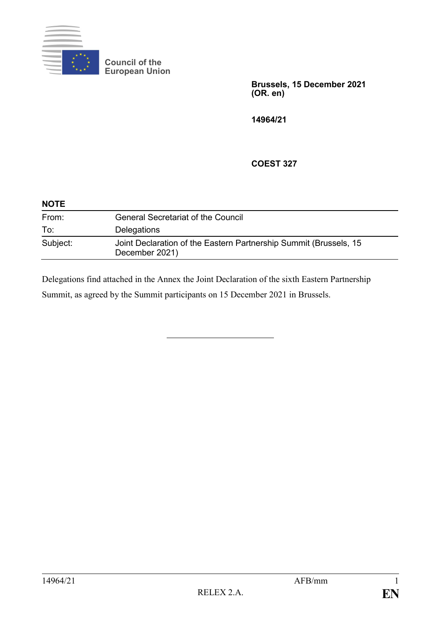

**Council of the European Union**

> **Brussels, 15 December 2021 (OR. en)**

**14964/21**

#### **COEST 327**

| <b>NOTE</b> |                                                                                     |
|-------------|-------------------------------------------------------------------------------------|
| From:       | <b>General Secretariat of the Council</b>                                           |
| To:         | Delegations                                                                         |
| Subject:    | Joint Declaration of the Eastern Partnership Summit (Brussels, 15<br>December 2021) |

Delegations find attached in the Annex the Joint Declaration of the sixth Eastern Partnership Summit, as agreed by the Summit participants on 15 December 2021 in Brussels.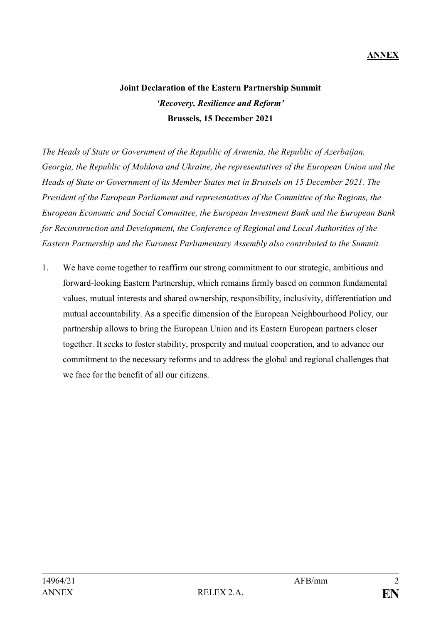# **Joint Declaration of the Eastern Partnership Summit** *'Recovery, Resilience and Reform'* **Brussels, 15 December 2021**

*The Heads of State or Government of the Republic of Armenia, the Republic of Azerbaijan, Georgia, the Republic of Moldova and Ukraine, the representatives of the European Union and the Heads of State or Government of its Member States met in Brussels on 15 December 2021. The President of the European Parliament and representatives of the Committee of the Regions, the European Economic and Social Committee, the European Investment Bank and the European Bank for Reconstruction and Development, the Conference of Regional and Local Authorities of the Eastern Partnership and the Euronest Parliamentary Assembly also contributed to the Summit.*

1. We have come together to reaffirm our strong commitment to our strategic, ambitious and forward-looking Eastern Partnership, which remains firmly based on common fundamental values, mutual interests and shared ownership, responsibility, inclusivity, differentiation and mutual accountability. As a specific dimension of the European Neighbourhood Policy, our partnership allows to bring the European Union and its Eastern European partners closer together. It seeks to foster stability, prosperity and mutual cooperation, and to advance our commitment to the necessary reforms and to address the global and regional challenges that we face for the benefit of all our citizens.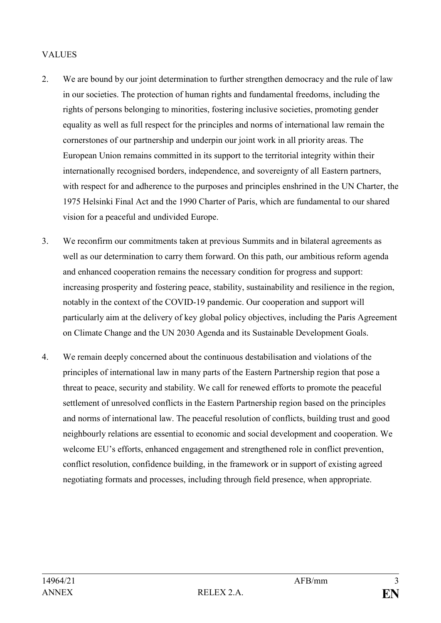### **VALUES**

- 2. We are bound by our joint determination to further strengthen democracy and the rule of law in our societies. The protection of human rights and fundamental freedoms, including the rights of persons belonging to minorities, fostering inclusive societies, promoting gender equality as well as full respect for the principles and norms of international law remain the cornerstones of our partnership and underpin our joint work in all priority areas. The European Union remains committed in its support to the territorial integrity within their internationally recognised borders, independence, and sovereignty of all Eastern partners, with respect for and adherence to the purposes and principles enshrined in the UN Charter, the 1975 Helsinki Final Act and the 1990 Charter of Paris, which are fundamental to our shared vision for a peaceful and undivided Europe.
- 3. We reconfirm our commitments taken at previous Summits and in bilateral agreements as well as our determination to carry them forward. On this path, our ambitious reform agenda and enhanced cooperation remains the necessary condition for progress and support: increasing prosperity and fostering peace, stability, sustainability and resilience in the region, notably in the context of the COVID-19 pandemic. Our cooperation and support will particularly aim at the delivery of key global policy objectives, including the Paris Agreement on Climate Change and the UN 2030 Agenda and its Sustainable Development Goals.
- 4. We remain deeply concerned about the continuous destabilisation and violations of the principles of international law in many parts of the Eastern Partnership region that pose a threat to peace, security and stability. We call for renewed efforts to promote the peaceful settlement of unresolved conflicts in the Eastern Partnership region based on the principles and norms of international law. The peaceful resolution of conflicts, building trust and good neighbourly relations are essential to economic and social development and cooperation. We welcome EU's efforts, enhanced engagement and strengthened role in conflict prevention, conflict resolution, confidence building, in the framework or in support of existing agreed negotiating formats and processes, including through field presence, when appropriate.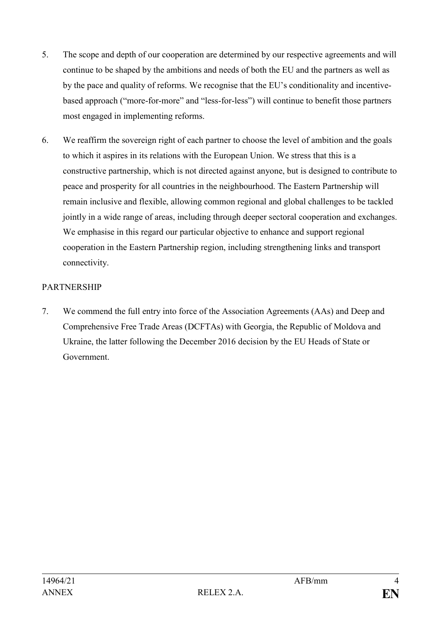- 5. The scope and depth of our cooperation are determined by our respective agreements and will continue to be shaped by the ambitions and needs of both the EU and the partners as well as by the pace and quality of reforms. We recognise that the EU's conditionality and incentivebased approach ("more-for-more" and "less-for-less") will continue to benefit those partners most engaged in implementing reforms.
- 6. We reaffirm the sovereign right of each partner to choose the level of ambition and the goals to which it aspires in its relations with the European Union. We stress that this is a constructive partnership, which is not directed against anyone, but is designed to contribute to peace and prosperity for all countries in the neighbourhood. The Eastern Partnership will remain inclusive and flexible, allowing common regional and global challenges to be tackled jointly in a wide range of areas, including through deeper sectoral cooperation and exchanges. We emphasise in this regard our particular objective to enhance and support regional cooperation in the Eastern Partnership region, including strengthening links and transport connectivity.

## PARTNERSHIP

7. We commend the full entry into force of the Association Agreements (AAs) and Deep and Comprehensive Free Trade Areas (DCFTAs) with Georgia, the Republic of Moldova and Ukraine, the latter following the December 2016 decision by the EU Heads of State or Government.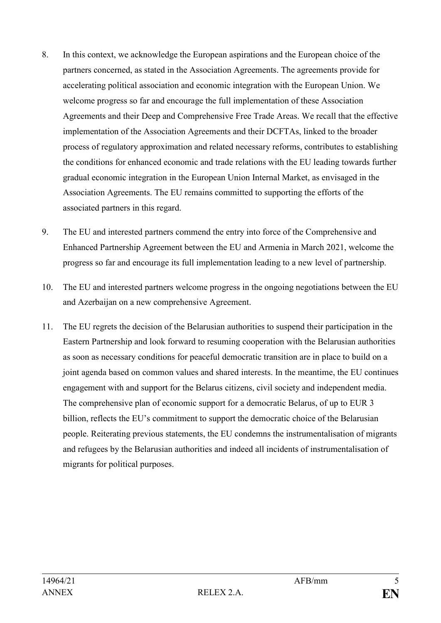- 8. In this context, we acknowledge the European aspirations and the European choice of the partners concerned, as stated in the Association Agreements. The agreements provide for accelerating political association and economic integration with the European Union. We welcome progress so far and encourage the full implementation of these Association Agreements and their Deep and Comprehensive Free Trade Areas. We recall that the effective implementation of the Association Agreements and their DCFTAs, linked to the broader process of regulatory approximation and related necessary reforms, contributes to establishing the conditions for enhanced economic and trade relations with the EU leading towards further gradual economic integration in the European Union Internal Market, as envisaged in the Association Agreements. The EU remains committed to supporting the efforts of the associated partners in this regard.
- 9. The EU and interested partners commend the entry into force of the Comprehensive and Enhanced Partnership Agreement between the EU and Armenia in March 2021, welcome the progress so far and encourage its full implementation leading to a new level of partnership.
- 10. The EU and interested partners welcome progress in the ongoing negotiations between the EU and Azerbaijan on a new comprehensive Agreement.
- 11. The EU regrets the decision of the Belarusian authorities to suspend their participation in the Eastern Partnership and look forward to resuming cooperation with the Belarusian authorities as soon as necessary conditions for peaceful democratic transition are in place to build on a joint agenda based on common values and shared interests. In the meantime, the EU continues engagement with and support for the Belarus citizens, civil society and independent media. The comprehensive plan of economic support for a democratic Belarus, of up to EUR 3 billion, reflects the EU's commitment to support the democratic choice of the Belarusian people. Reiterating previous statements, the EU condemns the instrumentalisation of migrants and refugees by the Belarusian authorities and indeed all incidents of instrumentalisation of migrants for political purposes.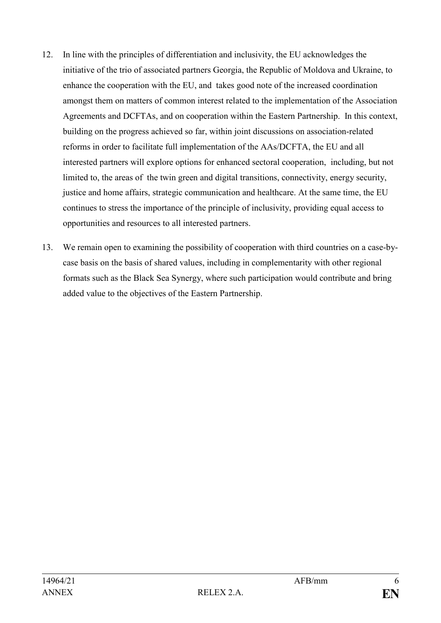- 12. In line with the principles of differentiation and inclusivity, the EU acknowledges the initiative of the trio of associated partners Georgia, the Republic of Moldova and Ukraine, to enhance the cooperation with the EU, and takes good note of the increased coordination amongst them on matters of common interest related to the implementation of the Association Agreements and DCFTAs, and on cooperation within the Eastern Partnership. In this context, building on the progress achieved so far, within joint discussions on association-related reforms in order to facilitate full implementation of the AAs/DCFTA, the EU and all interested partners will explore options for enhanced sectoral cooperation, including, but not limited to, the areas of the twin green and digital transitions, connectivity, energy security, justice and home affairs, strategic communication and healthcare. At the same time, the EU continues to stress the importance of the principle of inclusivity, providing equal access to opportunities and resources to all interested partners.
- 13. We remain open to examining the possibility of cooperation with third countries on a case-bycase basis on the basis of shared values, including in complementarity with other regional formats such as the Black Sea Synergy, where such participation would contribute and bring added value to the objectives of the Eastern Partnership.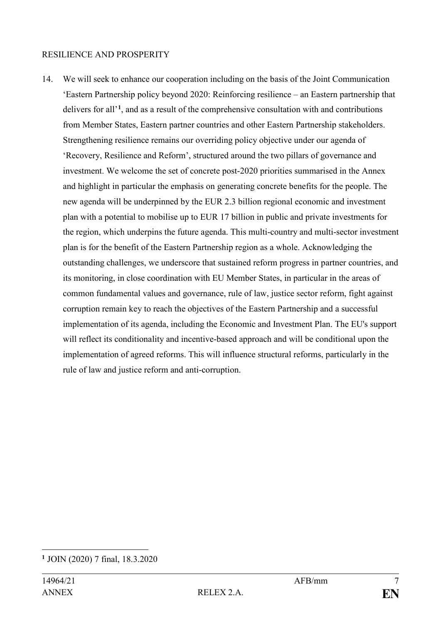#### RESILIENCE AND PROSPERITY

14. We will seek to enhance our cooperation including on the basis of the Joint Communication 'Eastern Partnership policy beyond 2020: Reinforcing resilience – an Eastern partnership that delivers for all'**[1](#page-6-0)**, and as a result of the comprehensive consultation with and contributions from Member States, Eastern partner countries and other Eastern Partnership stakeholders. Strengthening resilience remains our overriding policy objective under our agenda of 'Recovery, Resilience and Reform', structured around the two pillars of governance and investment. We welcome the set of concrete post-2020 priorities summarised in the Annex and highlight in particular the emphasis on generating concrete benefits for the people. The new agenda will be underpinned by the EUR 2.3 billion regional economic and investment plan with a potential to mobilise up to EUR 17 billion in public and private investments for the region, which underpins the future agenda. This multi-country and multi-sector investment plan is for the benefit of the Eastern Partnership region as a whole. Acknowledging the outstanding challenges, we underscore that sustained reform progress in partner countries, and its monitoring, in close coordination with EU Member States, in particular in the areas of common fundamental values and governance, rule of law, justice sector reform, fight against corruption remain key to reach the objectives of the Eastern Partnership and a successful implementation of its agenda, including the Economic and Investment Plan. The EU's support will reflect its conditionality and incentive-based approach and will be conditional upon the implementation of agreed reforms. This will influence structural reforms, particularly in the rule of law and justice reform and anti-corruption.

<span id="page-6-0"></span><sup>&</sup>lt;u>.</u> **<sup>1</sup>** JOIN (2020) 7 final, 18.3.2020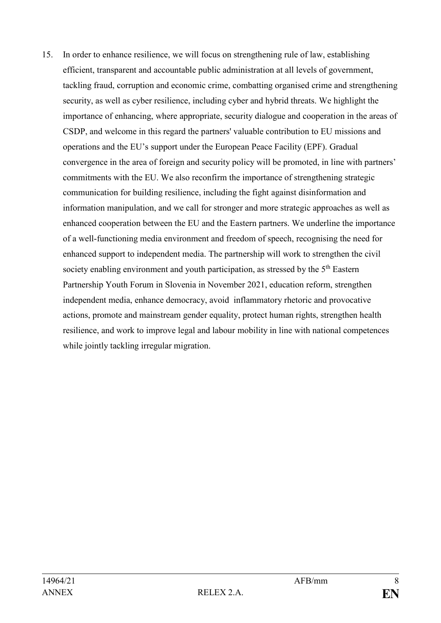15. In order to enhance resilience, we will focus on strengthening rule of law, establishing efficient, transparent and accountable public administration at all levels of government, tackling fraud, corruption and economic crime, combatting organised crime and strengthening security, as well as cyber resilience, including cyber and hybrid threats. We highlight the importance of enhancing, where appropriate, security dialogue and cooperation in the areas of CSDP, and welcome in this regard the partners' valuable contribution to EU missions and operations and the EU's support under the European Peace Facility (EPF). Gradual convergence in the area of foreign and security policy will be promoted, in line with partners' commitments with the EU. We also reconfirm the importance of strengthening strategic communication for building resilience, including the fight against disinformation and information manipulation, and we call for stronger and more strategic approaches as well as enhanced cooperation between the EU and the Eastern partners. We underline the importance of a well-functioning media environment and freedom of speech, recognising the need for enhanced support to independent media. The partnership will work to strengthen the civil society enabling environment and youth participation, as stressed by the 5<sup>th</sup> Eastern Partnership Youth Forum in Slovenia in November 2021, education reform, strengthen independent media, enhance democracy, avoid inflammatory rhetoric and provocative actions, promote and mainstream gender equality, protect human rights, strengthen health resilience, and work to improve legal and labour mobility in line with national competences while jointly tackling irregular migration.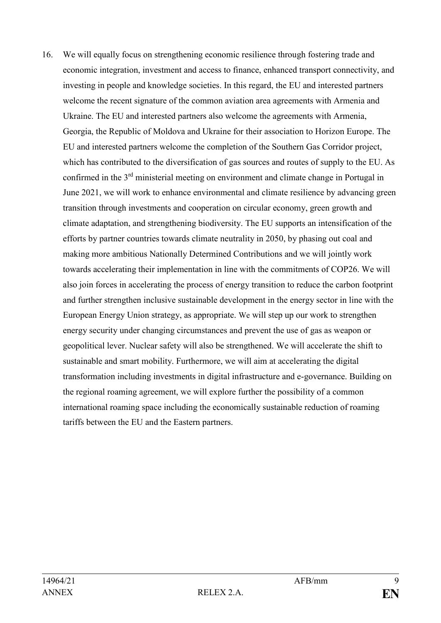16. We will equally focus on strengthening economic resilience through fostering trade and economic integration, investment and access to finance, enhanced transport connectivity, and investing in people and knowledge societies. In this regard, the EU and interested partners welcome the recent signature of the common aviation area agreements with Armenia and Ukraine. The EU and interested partners also welcome the agreements with Armenia, Georgia, the Republic of Moldova and Ukraine for their association to Horizon Europe. The EU and interested partners welcome the completion of the Southern Gas Corridor project, which has contributed to the diversification of gas sources and routes of supply to the EU. As confirmed in the 3rd ministerial meeting on environment and climate change in Portugal in June 2021, we will work to enhance environmental and climate resilience by advancing green transition through investments and cooperation on circular economy, green growth and climate adaptation, and strengthening biodiversity. The EU supports an intensification of the efforts by partner countries towards climate neutrality in 2050, by phasing out coal and making more ambitious Nationally Determined Contributions and we will jointly work towards accelerating their implementation in line with the commitments of COP26. We will also join forces in accelerating the process of energy transition to reduce the carbon footprint and further strengthen inclusive sustainable development in the energy sector in line with the European Energy Union strategy, as appropriate. We will step up our work to strengthen energy security under changing circumstances and prevent the use of gas as weapon or geopolitical lever. Nuclear safety will also be strengthened. We will accelerate the shift to sustainable and smart mobility. Furthermore, we will aim at accelerating the digital transformation including investments in digital infrastructure and e-governance. Building on the regional roaming agreement, we will explore further the possibility of a common international roaming space including the economically sustainable reduction of roaming tariffs between the EU and the Eastern partners.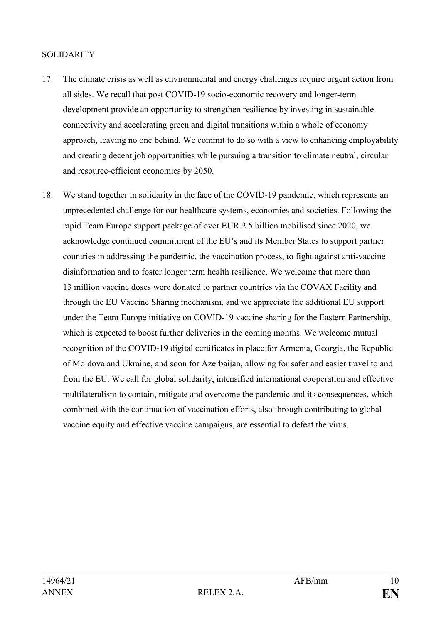#### **SOLIDARITY**

- 17. The climate crisis as well as environmental and energy challenges require urgent action from all sides. We recall that post COVID-19 socio-economic recovery and longer-term development provide an opportunity to strengthen resilience by investing in sustainable connectivity and accelerating green and digital transitions within a whole of economy approach, leaving no one behind. We commit to do so with a view to enhancing employability and creating decent job opportunities while pursuing a transition to climate neutral, circular and resource-efficient economies by 2050.
- 18. We stand together in solidarity in the face of the COVID-19 pandemic, which represents an unprecedented challenge for our healthcare systems, economies and societies. Following the rapid Team Europe support package of over EUR 2.5 billion mobilised since 2020, we acknowledge continued commitment of the EU's and its Member States to support partner countries in addressing the pandemic, the vaccination process, to fight against anti-vaccine disinformation and to foster longer term health resilience. We welcome that more than 13 million vaccine doses were donated to partner countries via the COVAX Facility and through the EU Vaccine Sharing mechanism, and we appreciate the additional EU support under the Team Europe initiative on COVID-19 vaccine sharing for the Eastern Partnership, which is expected to boost further deliveries in the coming months. We welcome mutual recognition of the COVID-19 digital certificates in place for Armenia, Georgia, the Republic of Moldova and Ukraine, and soon for Azerbaijan, allowing for safer and easier travel to and from the EU. We call for global solidarity, intensified international cooperation and effective multilateralism to contain, mitigate and overcome the pandemic and its consequences, which combined with the continuation of vaccination efforts, also through contributing to global vaccine equity and effective vaccine campaigns, are essential to defeat the virus.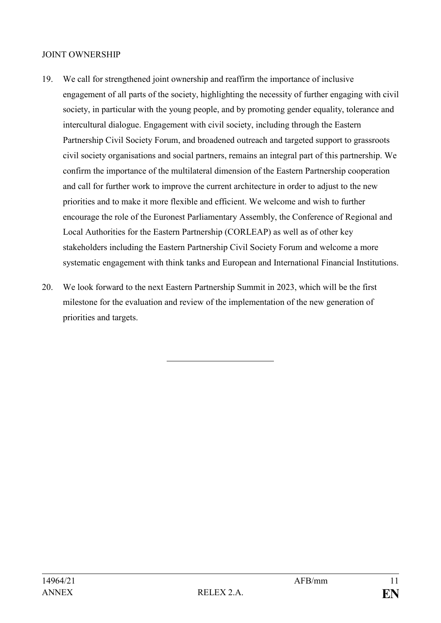#### JOINT OWNERSHIP

- 19. We call for strengthened joint ownership and reaffirm the importance of inclusive engagement of all parts of the society, highlighting the necessity of further engaging with civil society, in particular with the young people, and by promoting gender equality, tolerance and intercultural dialogue. Engagement with civil society, including through the Eastern Partnership Civil Society Forum, and broadened outreach and targeted support to grassroots civil society organisations and social partners, remains an integral part of this partnership. We confirm the importance of the multilateral dimension of the Eastern Partnership cooperation and call for further work to improve the current architecture in order to adjust to the new priorities and to make it more flexible and efficient. We welcome and wish to further encourage the role of the Euronest Parliamentary Assembly, the Conference of Regional and Local Authorities for the Eastern Partnership (CORLEAP) as well as of other key stakeholders including the Eastern Partnership Civil Society Forum and welcome a more systematic engagement with think tanks and European and International Financial Institutions.
- 20. We look forward to the next Eastern Partnership Summit in 2023, which will be the first milestone for the evaluation and review of the implementation of the new generation of priorities and targets.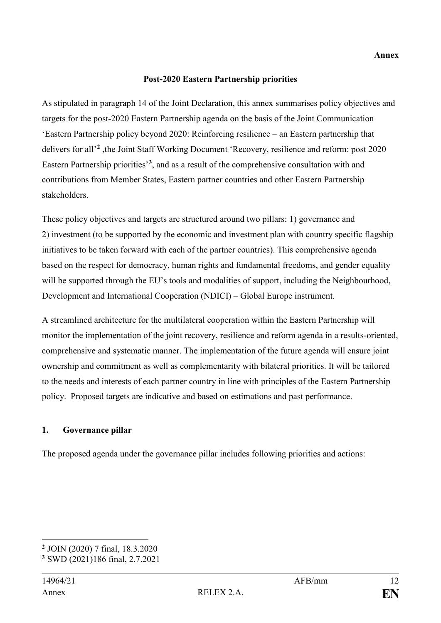#### **Post-2020 Eastern Partnership priorities**

As stipulated in paragraph 14 of the Joint Declaration, this annex summarises policy objectives and targets for the post-2020 Eastern Partnership agenda on the basis of the Joint Communication 'Eastern Partnership policy beyond 2020: Reinforcing resilience – an Eastern partnership that delivers for all'**[2](#page-11-0)** ,the Joint Staff Working Document 'Recovery, resilience and reform: post 2020 Eastern Partnership priorities'**[3](#page-11-1)**, and as a result of the comprehensive consultation with and contributions from Member States, Eastern partner countries and other Eastern Partnership stakeholders.

These policy objectives and targets are structured around two pillars: 1) governance and 2) investment (to be supported by the economic and investment plan with country specific flagship initiatives to be taken forward with each of the partner countries). This comprehensive agenda based on the respect for democracy, human rights and fundamental freedoms, and gender equality will be supported through the EU's tools and modalities of support, including the Neighbourhood, Development and International Cooperation (NDICI) – Global Europe instrument.

A streamlined architecture for the multilateral cooperation within the Eastern Partnership will monitor the implementation of the joint recovery, resilience and reform agenda in a results-oriented, comprehensive and systematic manner. The implementation of the future agenda will ensure joint ownership and commitment as well as complementarity with bilateral priorities. It will be tailored to the needs and interests of each partner country in line with principles of the Eastern Partnership policy. Proposed targets are indicative and based on estimations and past performance.

#### **1. Governance pillar**

The proposed agenda under the governance pillar includes following priorities and actions:

<span id="page-11-0"></span><sup>-</sup>**<sup>2</sup>** JOIN (2020) 7 final, 18.3.2020

<span id="page-11-1"></span>**<sup>3</sup>** SWD (2021)186 final, 2.7.2021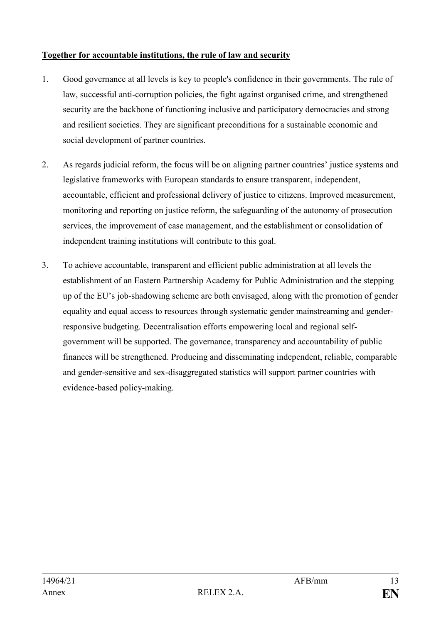# **Together for accountable institutions, the rule of law and security**

- 1. Good governance at all levels is key to people's confidence in their governments. The rule of law, successful anti-corruption policies, the fight against organised crime, and strengthened security are the backbone of functioning inclusive and participatory democracies and strong and resilient societies. They are significant preconditions for a sustainable economic and social development of partner countries.
- 2. As regards judicial reform, the focus will be on aligning partner countries' justice systems and legislative frameworks with European standards to ensure transparent, independent, accountable, efficient and professional delivery of justice to citizens. Improved measurement, monitoring and reporting on justice reform, the safeguarding of the autonomy of prosecution services, the improvement of case management, and the establishment or consolidation of independent training institutions will contribute to this goal.
- 3. To achieve accountable, transparent and efficient public administration at all levels the establishment of an Eastern Partnership Academy for Public Administration and the stepping up of the EU's job-shadowing scheme are both envisaged, along with the promotion of gender equality and equal access to resources through systematic gender mainstreaming and genderresponsive budgeting. Decentralisation efforts empowering local and regional selfgovernment will be supported. The governance, transparency and accountability of public finances will be strengthened. Producing and disseminating independent, reliable, comparable and gender-sensitive and sex-disaggregated statistics will support partner countries with evidence-based policy-making.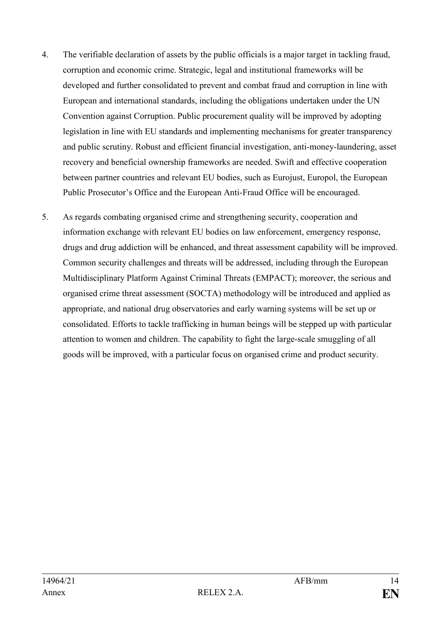- 4. The verifiable declaration of assets by the public officials is a major target in tackling fraud, corruption and economic crime. Strategic, legal and institutional frameworks will be developed and further consolidated to prevent and combat fraud and corruption in line with European and international standards, including the obligations undertaken under the UN Convention against Corruption. Public procurement quality will be improved by adopting legislation in line with EU standards and implementing mechanisms for greater transparency and public scrutiny. Robust and efficient financial investigation, anti-money-laundering, asset recovery and beneficial ownership frameworks are needed. Swift and effective cooperation between partner countries and relevant EU bodies, such as Eurojust, Europol, the European Public Prosecutor's Office and the European Anti-Fraud Office will be encouraged.
- 5. As regards combating organised crime and strengthening security, cooperation and information exchange with relevant EU bodies on law enforcement, emergency response, drugs and drug addiction will be enhanced, and threat assessment capability will be improved. Common security challenges and threats will be addressed, including through the European Multidisciplinary Platform Against Criminal Threats (EMPACT); moreover, the serious and organised crime threat assessment (SOCTA) methodology will be introduced and applied as appropriate, and national drug observatories and early warning systems will be set up or consolidated. Efforts to tackle trafficking in human beings will be stepped up with particular attention to women and children. The capability to fight the large-scale smuggling of all goods will be improved, with a particular focus on organised crime and product security.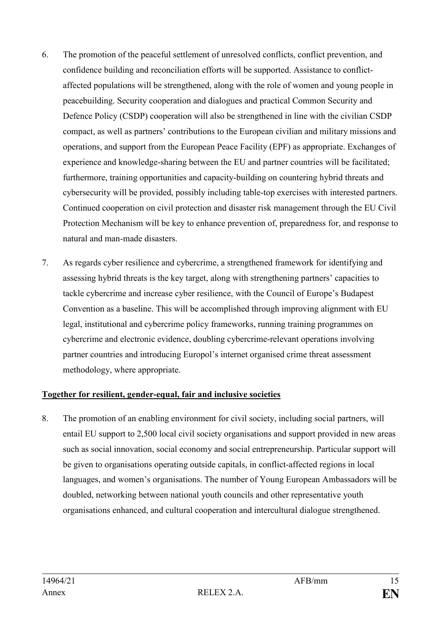- 6. The promotion of the peaceful settlement of unresolved conflicts, conflict prevention, and confidence building and reconciliation efforts will be supported. Assistance to conflictaffected populations will be strengthened, along with the role of women and young people in peacebuilding. Security cooperation and dialogues and practical Common Security and Defence Policy (CSDP) cooperation will also be strengthened in line with the civilian CSDP compact, as well as partners' contributions to the European civilian and military missions and operations, and support from the European Peace Facility (EPF) as appropriate. Exchanges of experience and knowledge-sharing between the EU and partner countries will be facilitated; furthermore, training opportunities and capacity-building on countering hybrid threats and cybersecurity will be provided, possibly including table-top exercises with interested partners. Continued cooperation on civil protection and disaster risk management through the EU Civil Protection Mechanism will be key to enhance prevention of, preparedness for, and response to natural and man-made disasters.
- 7. As regards cyber resilience and cybercrime, a strengthened framework for identifying and assessing hybrid threats is the key target, along with strengthening partners' capacities to tackle cybercrime and increase cyber resilience, with the Council of Europe's Budapest Convention as a baseline. This will be accomplished through improving alignment with EU legal, institutional and cybercrime policy frameworks, running training programmes on cybercrime and electronic evidence, doubling cybercrime-relevant operations involving partner countries and introducing Europol's internet organised crime threat assessment methodology, where appropriate.

# **Together for resilient, gender-equal, fair and inclusive societies**

8. The promotion of an enabling environment for civil society, including social partners, will entail EU support to 2,500 local civil society organisations and support provided in new areas such as social innovation, social economy and social entrepreneurship. Particular support will be given to organisations operating outside capitals, in conflict-affected regions in local languages, and women's organisations. The number of Young European Ambassadors will be doubled, networking between national youth councils and other representative youth organisations enhanced, and cultural cooperation and intercultural dialogue strengthened.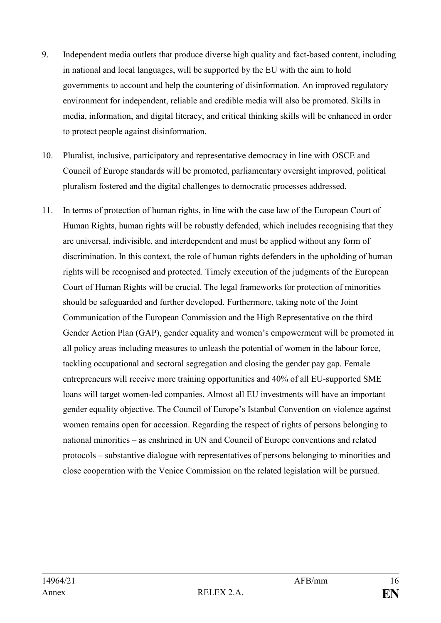- 9. Independent media outlets that produce diverse high quality and fact-based content, including in national and local languages, will be supported by the EU with the aim to hold governments to account and help the countering of disinformation. An improved regulatory environment for independent, reliable and credible media will also be promoted. Skills in media, information, and digital literacy, and critical thinking skills will be enhanced in order to protect people against disinformation.
- 10. Pluralist, inclusive, participatory and representative democracy in line with OSCE and Council of Europe standards will be promoted, parliamentary oversight improved, political pluralism fostered and the digital challenges to democratic processes addressed.
- 11. In terms of protection of human rights, in line with the case law of the European Court of Human Rights, human rights will be robustly defended, which includes recognising that they are universal, indivisible, and interdependent and must be applied without any form of discrimination. In this context, the role of human rights defenders in the upholding of human rights will be recognised and protected. Timely execution of the judgments of the European Court of Human Rights will be crucial. The legal frameworks for protection of minorities should be safeguarded and further developed. Furthermore, taking note of the Joint Communication of the European Commission and the High Representative on the third Gender Action Plan (GAP), gender equality and women's empowerment will be promoted in all policy areas including measures to unleash the potential of women in the labour force, tackling occupational and sectoral segregation and closing the gender pay gap. Female entrepreneurs will receive more training opportunities and 40% of all EU-supported SME loans will target women-led companies. Almost all EU investments will have an important gender equality objective. The Council of Europe's Istanbul Convention on violence against women remains open for accession. Regarding the respect of rights of persons belonging to national minorities – as enshrined in UN and Council of Europe conventions and related protocols – substantive dialogue with representatives of persons belonging to minorities and close cooperation with the Venice Commission on the related legislation will be pursued.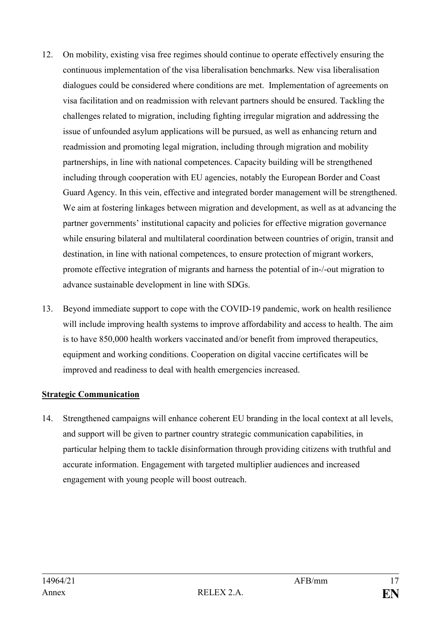- 12. On mobility, existing visa free regimes should continue to operate effectively ensuring the continuous implementation of the visa liberalisation benchmarks. New visa liberalisation dialogues could be considered where conditions are met. Implementation of agreements on visa facilitation and on readmission with relevant partners should be ensured. Tackling the challenges related to migration, including fighting irregular migration and addressing the issue of unfounded asylum applications will be pursued, as well as enhancing return and readmission and promoting legal migration, including through migration and mobility partnerships, in line with national competences. Capacity building will be strengthened including through cooperation with EU agencies, notably the European Border and Coast Guard Agency. In this vein, effective and integrated border management will be strengthened. We aim at fostering linkages between migration and development, as well as at advancing the partner governments' institutional capacity and policies for effective migration governance while ensuring bilateral and multilateral coordination between countries of origin, transit and destination, in line with national competences, to ensure protection of migrant workers, promote effective integration of migrants and harness the potential of in-/-out migration to advance sustainable development in line with SDGs.
- 13. Beyond immediate support to cope with the COVID-19 pandemic, work on health resilience will include improving health systems to improve affordability and access to health. The aim is to have 850,000 health workers vaccinated and/or benefit from improved therapeutics, equipment and working conditions. Cooperation on digital vaccine certificates will be improved and readiness to deal with health emergencies increased.

# **Strategic Communication**

14. Strengthened campaigns will enhance coherent EU branding in the local context at all levels, and support will be given to partner country strategic communication capabilities, in particular helping them to tackle disinformation through providing citizens with truthful and accurate information. Engagement with targeted multiplier audiences and increased engagement with young people will boost outreach.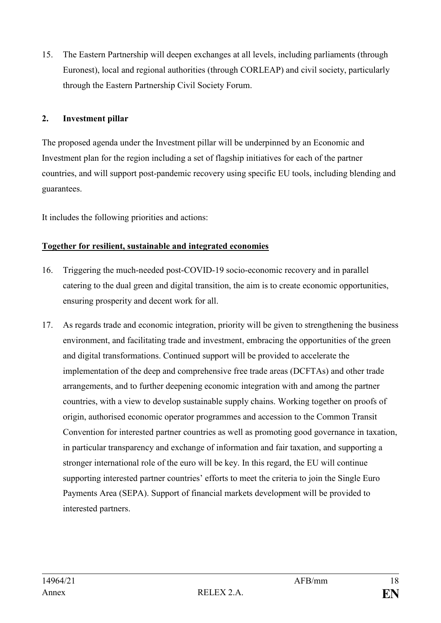15. The Eastern Partnership will deepen exchanges at all levels, including parliaments (through Euronest), local and regional authorities (through CORLEAP) and civil society, particularly through the Eastern Partnership Civil Society Forum.

# **2. Investment pillar**

The proposed agenda under the Investment pillar will be underpinned by an Economic and Investment plan for the region including a set of flagship initiatives for each of the partner countries, and will support post-pandemic recovery using specific EU tools, including blending and guarantees.

It includes the following priorities and actions:

## **Together for resilient, sustainable and integrated economies**

- 16. Triggering the much-needed post-COVID-19 socio-economic recovery and in parallel catering to the dual green and digital transition, the aim is to create economic opportunities, ensuring prosperity and decent work for all.
- 17. As regards trade and economic integration, priority will be given to strengthening the business environment, and facilitating trade and investment, embracing the opportunities of the green and digital transformations. Continued support will be provided to accelerate the implementation of the deep and comprehensive free trade areas (DCFTAs) and other trade arrangements, and to further deepening economic integration with and among the partner countries, with a view to develop sustainable supply chains. Working together on proofs of origin, authorised economic operator programmes and accession to the Common Transit Convention for interested partner countries as well as promoting good governance in taxation, in particular transparency and exchange of information and fair taxation, and supporting a stronger international role of the euro will be key. In this regard, the EU will continue supporting interested partner countries' efforts to meet the criteria to join the Single Euro Payments Area (SEPA). Support of financial markets development will be provided to interested partners.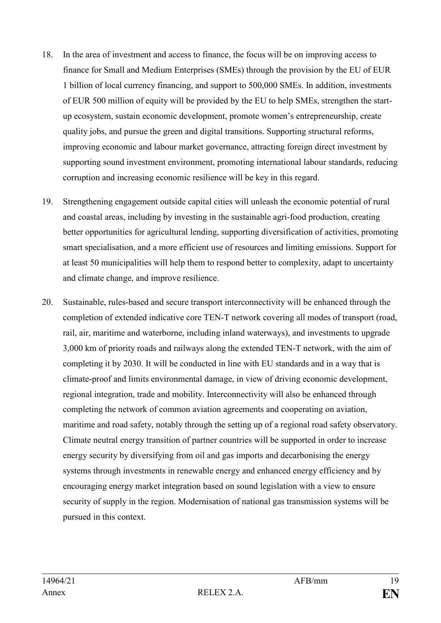- 18. In the area of investment and access to finance, the focus will be on improving access to finance for Small and Medium Enterprises (SMEs) through the provision by the EU of EUR 1 billion of local currency financing, and support to 500,000 SMEs. In addition, investments of EUR 500 million of equity will be provided by the EU to help SMEs, strengthen the startup ecosystem, sustain economic development, promote women's entrepreneurship, create quality jobs, and pursue the green and digital transitions. Supporting structural reforms, improving economic and labour market governance, attracting foreign direct investment by supporting sound investment environment, promoting international labour standards, reducing corruption and increasing economic resilience will be key in this regard.
- 19. Strengthening engagement outside capital cities will unleash the economic potential of rural and coastal areas, including by investing in the sustainable agri-food production, creating better opportunities for agricultural lending, supporting diversification of activities, promoting smart specialisation, and a more efficient use of resources and limiting emissions. Support for at least 50 municipalities will help them to respond better to complexity, adapt to uncertainty and climate change, and improve resilience.
- 20. Sustainable, rules-based and secure transport interconnectivity will be enhanced through the completion of extended indicative core TEN-T network covering all modes of transport (road, rail, air, maritime and waterborne, including inland waterways), and investments to upgrade 3,000 km of priority roads and railways along the extended TEN-T network, with the aim of completing it by 2030. It will be conducted in line with EU standards and in a way that is climate-proof and limits environmental damage, in view of driving economic development, regional integration, trade and mobility. Interconnectivity will also be enhanced through completing the network of common aviation agreements and cooperating on aviation, maritime and road safety, notably through the setting up of a regional road safety observatory. Climate neutral energy transition of partner countries will be supported in order to increase energy security by diversifying from oil and gas imports and decarbonising the energy systems through investments in renewable energy and enhanced energy efficiency and by encouraging energy market integration based on sound legislation with a view to ensure security of supply in the region. Modernisation of national gas transmission systems will be pursued in this context.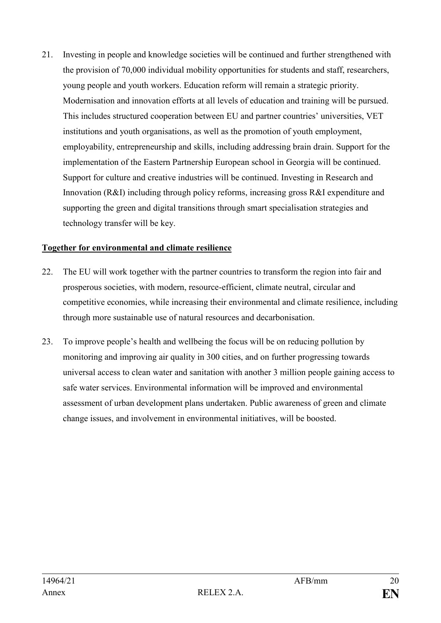21. Investing in people and knowledge societies will be continued and further strengthened with the provision of 70,000 individual mobility opportunities for students and staff, researchers, young people and youth workers. Education reform will remain a strategic priority. Modernisation and innovation efforts at all levels of education and training will be pursued. This includes structured cooperation between EU and partner countries' universities, VET institutions and youth organisations, as well as the promotion of youth employment, employability, entrepreneurship and skills, including addressing brain drain. Support for the implementation of the Eastern Partnership European school in Georgia will be continued. Support for culture and creative industries will be continued. Investing in Research and Innovation (R&I) including through policy reforms, increasing gross R&I expenditure and supporting the green and digital transitions through smart specialisation strategies and technology transfer will be key.

#### **Together for environmental and climate resilience**

- 22. The EU will work together with the partner countries to transform the region into fair and prosperous societies, with modern, resource-efficient, climate neutral, circular and competitive economies, while increasing their environmental and climate resilience, including through more sustainable use of natural resources and decarbonisation.
- 23. To improve people's health and wellbeing the focus will be on reducing pollution by monitoring and improving air quality in 300 cities, and on further progressing towards universal access to clean water and sanitation with another 3 million people gaining access to safe water services. Environmental information will be improved and environmental assessment of urban development plans undertaken. Public awareness of green and climate change issues, and involvement in environmental initiatives, will be boosted.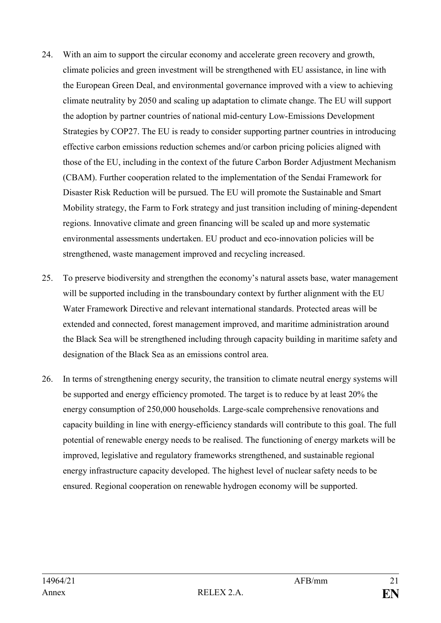- 24. With an aim to support the circular economy and accelerate green recovery and growth, climate policies and green investment will be strengthened with EU assistance, in line with the European Green Deal, and environmental governance improved with a view to achieving climate neutrality by 2050 and scaling up adaptation to climate change. The EU will support the adoption by partner countries of national mid-century Low-Emissions Development Strategies by COP27. The EU is ready to consider supporting partner countries in introducing effective carbon emissions reduction schemes and/or carbon pricing policies aligned with those of the EU, including in the context of the future Carbon Border Adjustment Mechanism (CBAM). Further cooperation related to the implementation of the Sendai Framework for Disaster Risk Reduction will be pursued. The EU will promote the Sustainable and Smart Mobility strategy, the Farm to Fork strategy and just transition including of mining-dependent regions. Innovative climate and green financing will be scaled up and more systematic environmental assessments undertaken. EU product and eco-innovation policies will be strengthened, waste management improved and recycling increased.
- 25. To preserve biodiversity and strengthen the economy's natural assets base, water management will be supported including in the transboundary context by further alignment with the EU Water Framework Directive and relevant international standards. Protected areas will be extended and connected, forest management improved, and maritime administration around the Black Sea will be strengthened including through capacity building in maritime safety and designation of the Black Sea as an emissions control area.
- 26. In terms of strengthening energy security, the transition to climate neutral energy systems will be supported and energy efficiency promoted. The target is to reduce by at least 20% the energy consumption of 250,000 households. Large-scale comprehensive renovations and capacity building in line with energy-efficiency standards will contribute to this goal. The full potential of renewable energy needs to be realised. The functioning of energy markets will be improved, legislative and regulatory frameworks strengthened, and sustainable regional energy infrastructure capacity developed. The highest level of nuclear safety needs to be ensured. Regional cooperation on renewable hydrogen economy will be supported.